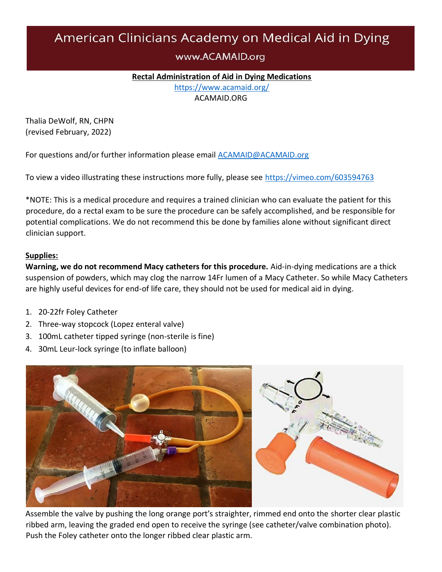# American Clinicians Academy on Medical Aid in Dying

## www.ACAMAID.org

#### **Rectal Administration of Aid in Dying Medications**

<https://www.acamaid.org/> ACAMAID.ORG

Thalia DeWolf, RN, CHPN (revised February, 2022)

For questions and/or further information please email **ACAMAID@ACAMAID.org** 

To view a video illustrating these instructions more fully, please see<https://vimeo.com/603594763>

\*NOTE: This is a medical procedure and requires a trained clinician who can evaluate the patient for this procedure, do a rectal exam to be sure the procedure can be safely accomplished, and be responsible for potential complications. We do not recommend this be done by families alone without significant direct clinician support.

#### **Supplies:**

**Warning, we do not recommend Macy catheters for this procedure.** Aid-in-dying medications are a thick suspension of powders, which may clog the narrow 14Fr lumen of a Macy Catheter. So while Macy Catheters are highly useful devices for end-of life care, they should not be used for medical aid in dying.

- 1. 20-22fr Foley Catheter
- 2. Three-way stopcock (Lopez enteral valve)
- 3. 100mL catheter tipped syringe (non-sterile is fine)
- 4. 30mL Leur-lock syringe (to inflate balloon)



Assemble the valve by pushing the long orange port's straighter, rimmed end onto the shorter clear plastic ribbed arm, leaving the graded end open to receive the syringe (see catheter/valve combination photo). Push the Foley catheter onto the longer ribbed clear plastic arm.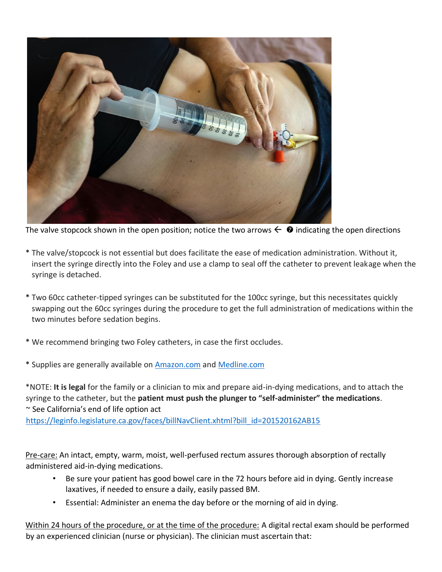

The valve stopcock shown in the open position; notice the two arrows  $\leftarrow \bullet$  indicating the open directions

- \* The valve/stopcock is not essential but does facilitate the ease of medication administration. Without it, insert the syringe directly into the Foley and use a clamp to seal off the catheter to prevent leakage when the syringe is detached.
- \* Two 60cc catheter-tipped syringes can be substituted for the 100cc syringe, but this necessitates quickly swapping out the 60cc syringes during the procedure to get the full administration of medications within the two minutes before sedation begins.
- \* We recommend bringing two Foley catheters, in case the first occludes.
- \* Supplies are generally available on [Amazon.com](http://www.amazon.com/) and [Medline.com](http://www.medline.com/)

\*NOTE: **It is legal** for the family or a clinician to mix and prepare aid-in-dying medications, and to attach the syringe to the catheter, but the **patient must push the plunger to "self-administer" the medications**. ~ See California's end of life option act [https://leginfo.legislature.ca.gov/faces/billNavClient.xhtml?bill\\_id=201520162AB15](https://leginfo.legislature.ca.gov/faces/billNavClient.xhtml?bill_id=201520162AB15)

Pre-care: An intact, empty, warm, moist, well-perfused rectum assures thorough absorption of rectally administered aid-in-dying medications.

- Be sure your patient has good bowel care in the 72 hours before aid in dying. Gently increase laxatives, if needed to ensure a daily, easily passed BM.
- Essential: Administer an enema the day before or the morning of aid in dying.

Within 24 hours of the procedure, or at the time of the procedure: A digital rectal exam should be performed by an experienced clinician (nurse or physician). The clinician must ascertain that: